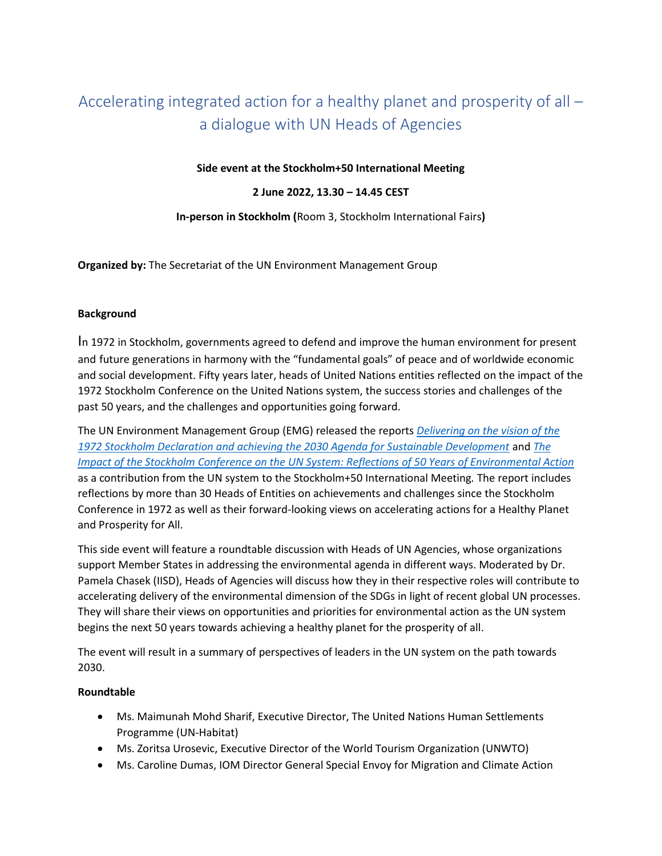# Accelerating integrated action for a healthy planet and prosperity of all – a dialogue with UN Heads of Agencies

### **Side event at the Stockholm+50 International Meeting**

#### **2 June 2022, 13.30 – 14.45 CEST**

**In-person in Stockholm (**Room 3, Stockholm International Fairs**)** 

**Organized by:** The Secretariat of the UN Environment Management Group

#### **Background**

In 1972 in Stockholm, governments agreed to defend and improve the human environment for present and future generations in harmony with the "fundamental goals" of peace and of worldwide economic and social development. Fifty years later, heads of United Nations entities reflected on the impact of the 1972 Stockholm Conference on the United Nations system, the success stories and challenges of the past 50 years, and the challenges and opportunities going forward.

The UN Environment Management Group (EMG) released the reports *[Delivering on the vision of the](https://wedocs.unep.org/bitstream/handle/20.500.11822/39620/EMG_Contribution_S50.pdf)  [1972 Stockholm Declaration and achieving the 2030 Agenda for Sustainable Development](https://wedocs.unep.org/bitstream/handle/20.500.11822/39620/EMG_Contribution_S50.pdf)* and *[The](https://unenvironment.widen.net/s/rgqtgfrvsw/summary_of_heads_of-agencies_interviews_on-s50_advanced_version)  [Impact of the Stockholm Conference on the UN System: Reflections of 50 Years of Environmental Action](https://unenvironment.widen.net/s/rgqtgfrvsw/summary_of_heads_of-agencies_interviews_on-s50_advanced_version)* as a contribution from the UN system to the Stockholm+50 International Meeting*.* The report includes reflections by more than 30 Heads of Entities on achievements and challenges since the Stockholm Conference in 1972 as well as their forward-looking views on accelerating actions for a Healthy Planet and Prosperity for All.

This side event will feature a roundtable discussion with Heads of UN Agencies, whose organizations support Member States in addressing the environmental agenda in different ways. Moderated by Dr. Pamela Chasek (IISD), Heads of Agencies will discuss how they in their respective roles will contribute to accelerating delivery of the environmental dimension of the SDGs in light of recent global UN processes. They will share their views on opportunities and priorities for environmental action as the UN system begins the next 50 years towards achieving a healthy planet for the prosperity of all.

The event will result in a summary of perspectives of leaders in the UN system on the path towards 2030.

## **Roundtable**

- Ms. Maimunah Mohd Sharif, Executive Director, The United Nations Human Settlements Programme (UN-Habitat)
- Ms. Zoritsa Urosevic, Executive Director of the World Tourism Organization (UNWTO)
- Ms. Caroline Dumas, IOM Director General Special Envoy for Migration and Climate Action